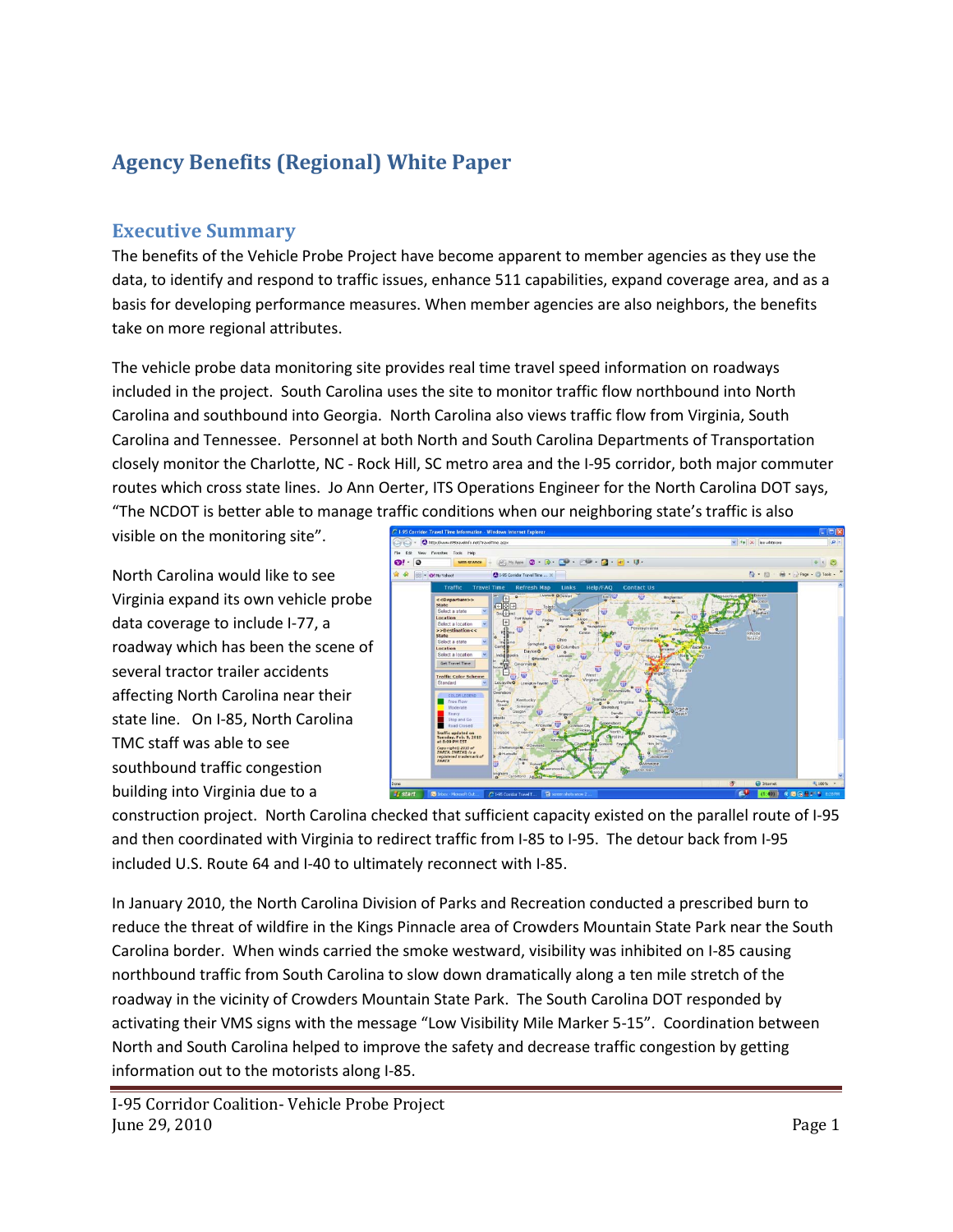# **Agency Benefits (Regional) White Paper**

#### **Executive Summary**

The benefits of the Vehicle Probe Project have become apparent to member agencies as they use the data, to identify and respond to traffic issues, enhance 511 capabilities, expand coverage area, and as a basis for developing performance measures. When member agencies are also neighbors, the benefits take on more regional attributes.

The vehicle probe data monitoring site provides real time travel speed information on roadways included in the project. South Carolina uses the site to monitor traffic flow northbound into North Carolina and southbound into Georgia. North Carolina also views traffic flow from Virginia, South Carolina and Tennessee. Personnel at both North and South Carolina Departments of Transportation closely monitor the Charlotte, NC - Rock Hill, SC metro area and the I-95 corridor, both major commuter routes which cross state lines. Jo Ann Oerter, ITS Operations Engineer for the North Carolina DOT says, "The NCDOT is better able to manage traffic conditions when our neighboring state's traffic is also

visible on the monitoring site".

North Carolina would like to see Virginia expand its own vehicle probe data coverage to include I-77, a roadway which has been the scene of several tractor trailer accidents affecting North Carolina near their state line. On I-85, North Carolina TMC staff was able to see southbound traffic congestion building into Virginia due to a



construction project. North Carolina checked that sufficient capacity existed on the parallel route of I-95 and then coordinated with Virginia to redirect traffic from I-85 to I-95. The detour back from I-95 included U.S. Route 64 and I-40 to ultimately reconnect with I-85.

In January 2010, the North Carolina Division of Parks and Recreation conducted a prescribed burn to reduce the threat of wildfire in the Kings Pinnacle area of Crowders Mountain State Park near the South Carolina border. When winds carried the smoke westward, visibility was inhibited on I-85 causing northbound traffic from South Carolina to slow down dramatically along a ten mile stretch of the roadway in the vicinity of Crowders Mountain State Park. The South Carolina DOT responded by activating their VMS signs with the message "Low Visibility Mile Marker 5-15". Coordination between North and South Carolina helped to improve the safety and decrease traffic congestion by getting information out to the motorists along I-85.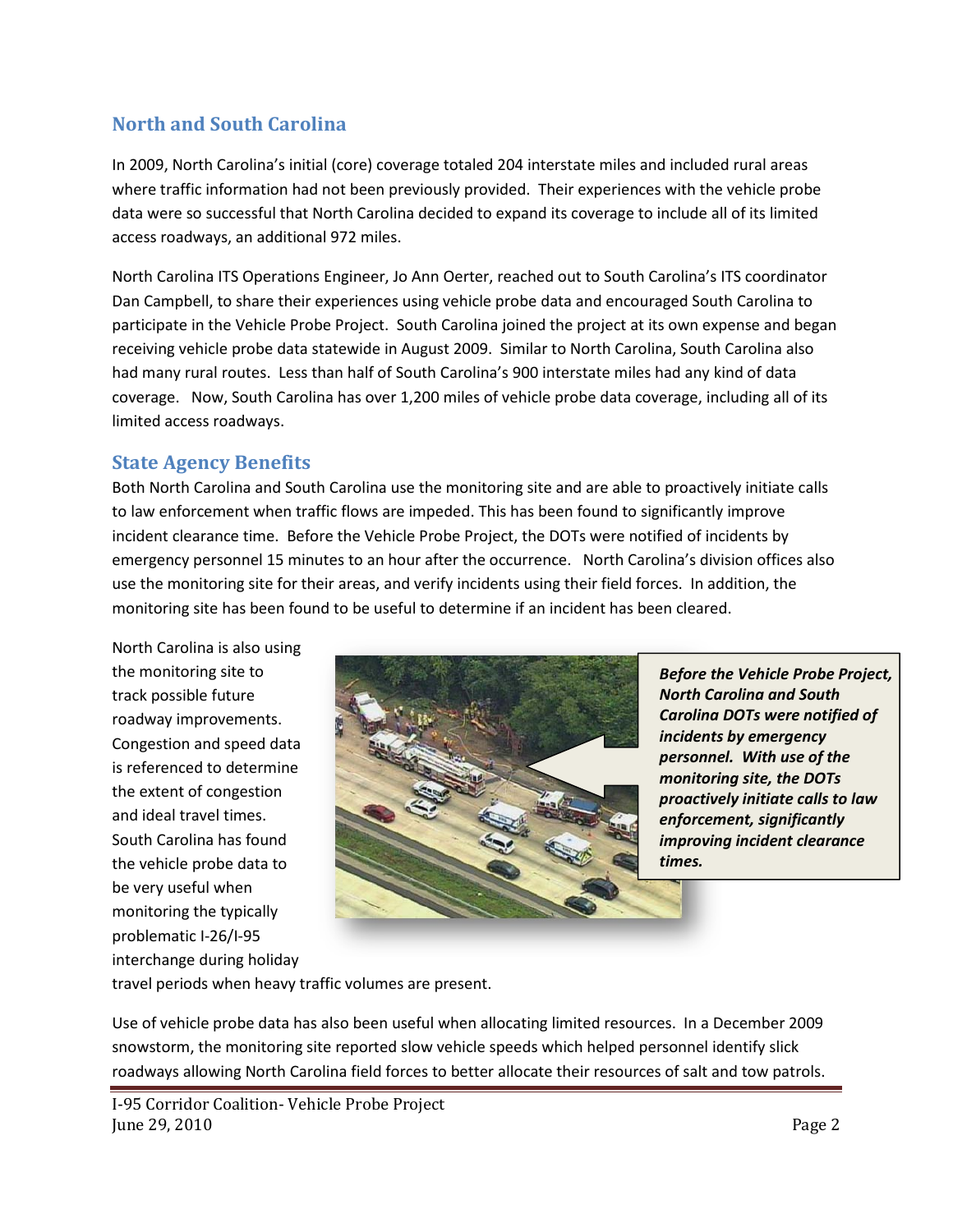### **North and South Carolina**

In 2009, North Carolina's initial (core) coverage totaled 204 interstate miles and included rural areas where traffic information had not been previously provided. Their experiences with the vehicle probe data were so successful that North Carolina decided to expand its coverage to include all of its limited access roadways, an additional 972 miles.

North Carolina ITS Operations Engineer, Jo Ann Oerter, reached out to South Carolina's ITS coordinator Dan Campbell, to share their experiences using vehicle probe data and encouraged South Carolina to participate in the Vehicle Probe Project. South Carolina joined the project at its own expense and began receiving vehicle probe data statewide in August 2009. Similar to North Carolina, South Carolina also had many rural routes. Less than half of South Carolina's 900 interstate miles had any kind of data coverage. Now, South Carolina has over 1,200 miles of vehicle probe data coverage, including all of its limited access roadways.

#### **State Agency Benefits**

Both North Carolina and South Carolina use the monitoring site and are able to proactively initiate calls to law enforcement when traffic flows are impeded. This has been found to significantly improve incident clearance time. Before the Vehicle Probe Project, the DOTs were notified of incidents by emergency personnel 15 minutes to an hour after the occurrence. North Carolina's division offices also use the monitoring site for their areas, and verify incidents using their field forces. In addition, the monitoring site has been found to be useful to determine if an incident has been cleared.

North Carolina is also using the monitoring site to track possible future roadway improvements. Congestion and speed data is referenced to determine the extent of congestion and ideal travel times. South Carolina has found the vehicle probe data to be very useful when monitoring the typically problematic I-26/I-95 interchange during holiday



*Before the Vehicle Probe Project, North Carolina and South Carolina DOTs were notified of incidents by emergency personnel. With use of the monitoring site, the DOTs proactively initiate calls to law enforcement, significantly improving incident clearance times.*

travel periods when heavy traffic volumes are present.

Use of vehicle probe data has also been useful when allocating limited resources. In a December 2009 snowstorm, the monitoring site reported slow vehicle speeds which helped personnel identify slick roadways allowing North Carolina field forces to better allocate their resources of salt and tow patrols.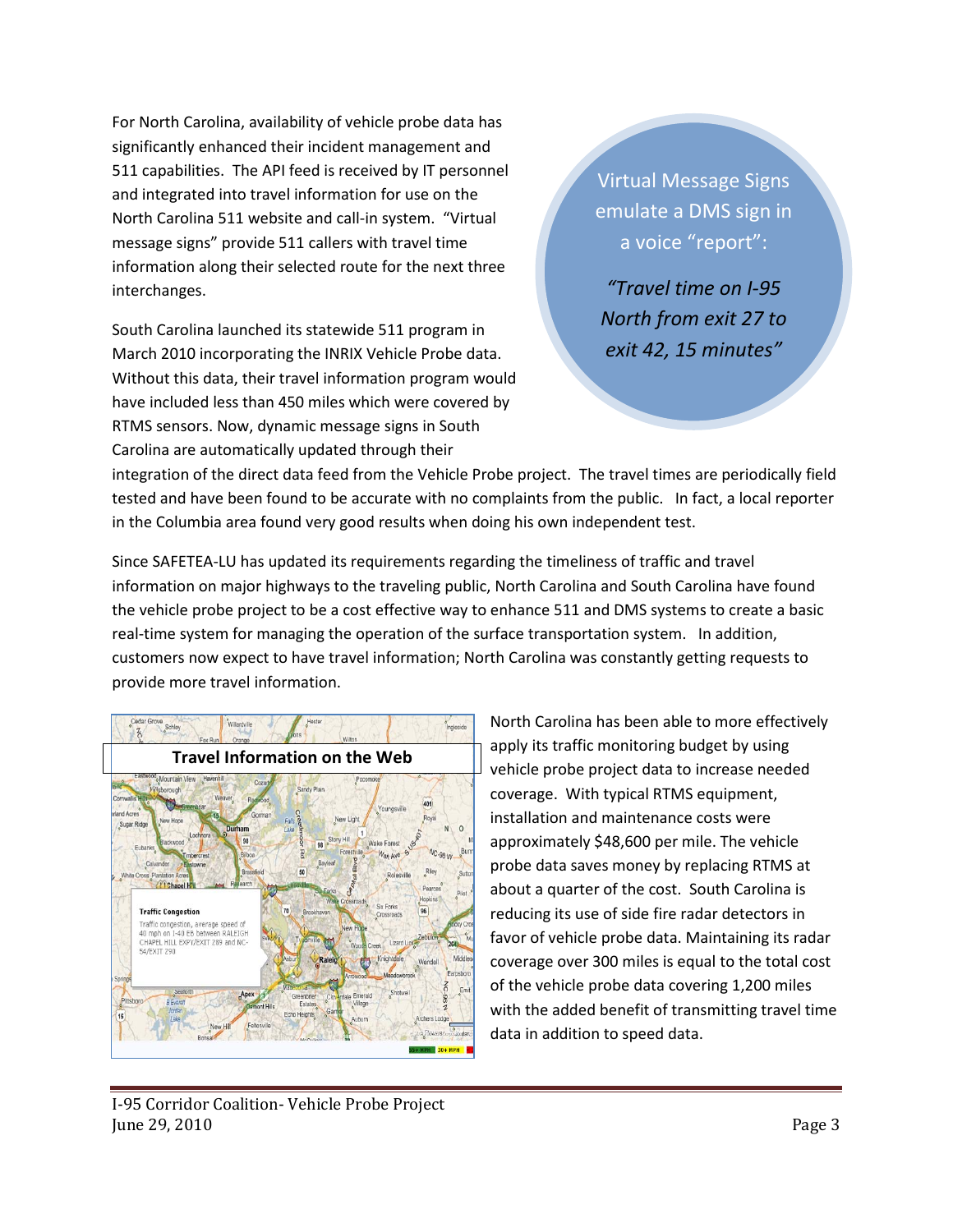For North Carolina, availability of vehicle probe data has significantly enhanced their incident management and 511 capabilities. The API feed is received by IT personnel and integrated into travel information for use on the North Carolina 511 website and call-in system. "Virtual message signs" provide 511 callers with travel time information along their selected route for the next three interchanges.

South Carolina launched its statewide 511 program in March 2010 incorporating the INRIX Vehicle Probe data. Without this data, their travel information program would have included less than 450 miles which were covered by RTMS sensors. Now, dynamic message signs in South Carolina are automatically updated through their

Virtual Message Signs emulate a DMS sign in a voice "report":

*"Travel time on I-95 North from exit 27 to exit 42, 15 minutes"*

integration of the direct data feed from the Vehicle Probe project. The travel times are periodically field tested and have been found to be accurate with no complaints from the public. In fact, a local reporter in the Columbia area found very good results when doing his own independent test.

Since SAFETEA-LU has updated its requirements regarding the timeliness of traffic and travel information on major highways to the traveling public, North Carolina and South Carolina have found the vehicle probe project to be a cost effective way to enhance 511 and DMS systems to create a basic real-time system for managing the operation of the surface transportation system. In addition, customers now expect to have travel information; North Carolina was constantly getting requests to provide more travel information.



North Carolina has been able to more effectively apply its traffic monitoring budget by using vehicle probe project data to increase needed coverage. With typical RTMS equipment, installation and maintenance costs were approximately \$48,600 per mile. The vehicle probe data saves money by replacing RTMS at about a quarter of the cost. South Carolina is reducing its use of side fire radar detectors in favor of vehicle probe data. Maintaining its radar coverage over 300 miles is equal to the total cost of the vehicle probe data covering 1,200 miles with the added benefit of transmitting travel time data in addition to speed data.

I-95 Corridor Coalition- Vehicle Probe Project June  $29, 2010$  Page 3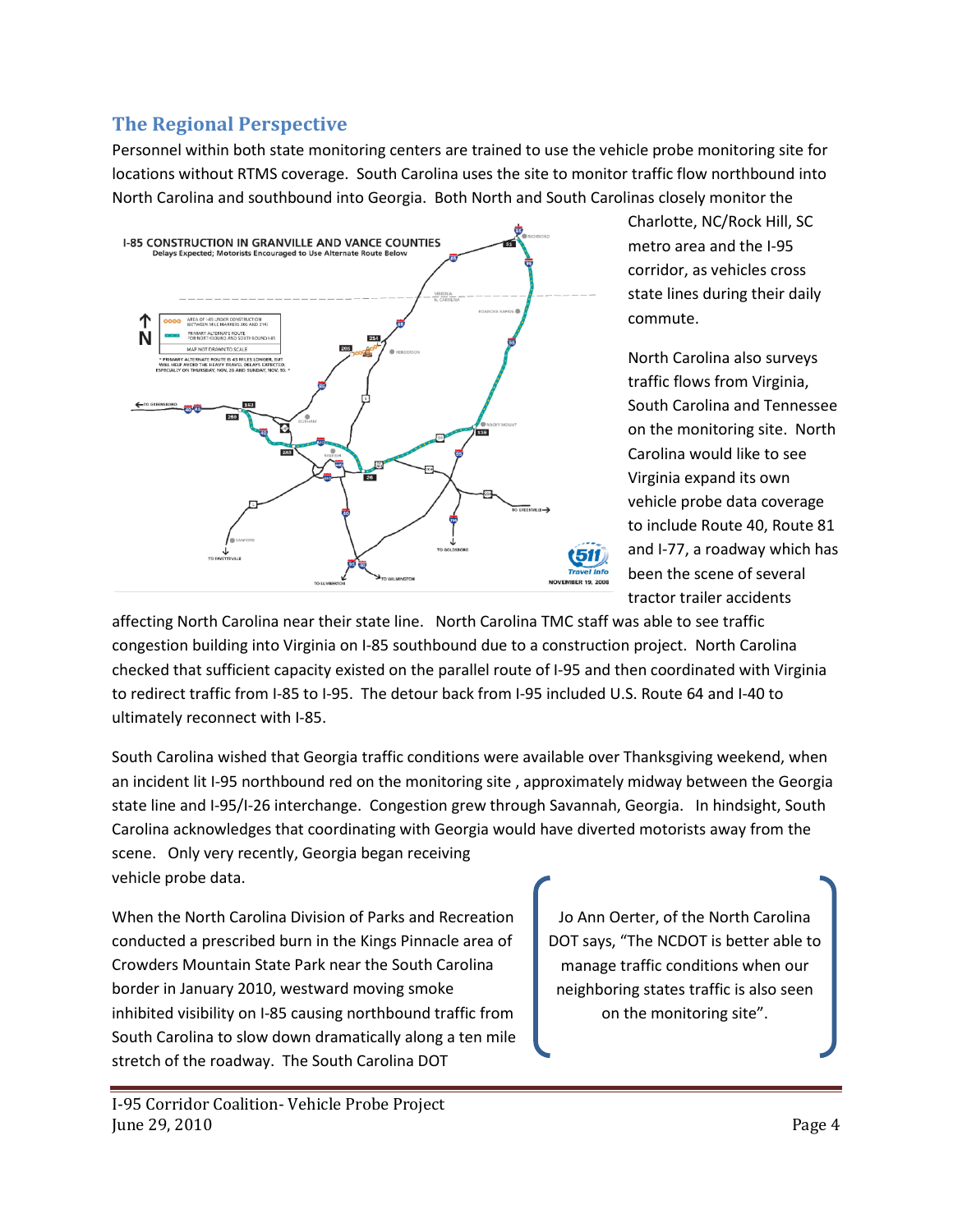## **The Regional Perspective**

Personnel within both state monitoring centers are trained to use the vehicle probe monitoring site for locations without RTMS coverage. South Carolina uses the site to monitor traffic flow northbound into North Carolina and southbound into Georgia. Both North and South Carolinas closely monitor the



Charlotte, NC/Rock Hill, SC metro area and the I-95 corridor, as vehicles cross state lines during their daily commute.

North Carolina also surveys traffic flows from Virginia, South Carolina and Tennessee on the monitoring site. North Carolina would like to see Virginia expand its own vehicle probe data coverage to include Route 40, Route 81 and I-77, a roadway which has been the scene of several tractor trailer accidents

affecting North Carolina near their state line. North Carolina TMC staff was able to see traffic congestion building into Virginia on I-85 southbound due to a construction project. North Carolina checked that sufficient capacity existed on the parallel route of I-95 and then coordinated with Virginia to redirect traffic from I-85 to I-95. The detour back from I-95 included U.S. Route 64 and I-40 to ultimately reconnect with I-85.

South Carolina wished that Georgia traffic conditions were available over Thanksgiving weekend, when an incident lit I-95 northbound red on the monitoring site , approximately midway between the Georgia state line and I-95/I-26 interchange. Congestion grew through Savannah, Georgia. In hindsight, South Carolina acknowledges that coordinating with Georgia would have diverted motorists away from the scene. Only very recently, Georgia began receiving vehicle probe data.

When the North Carolina Division of Parks and Recreation conducted a prescribed burn in the Kings Pinnacle area of Crowders Mountain State Park near the South Carolina border in January 2010, westward moving smoke inhibited visibility on I-85 causing northbound traffic from South Carolina to slow down dramatically along a ten mile stretch of the roadway. The South Carolina DOT

Jo Ann Oerter, of the North Carolina DOT says, "The NCDOT is better able to manage traffic conditions when our neighboring states traffic is also seen on the monitoring site".

I-95 Corridor Coalition- Vehicle Probe Project June 29, 2010 Page 4